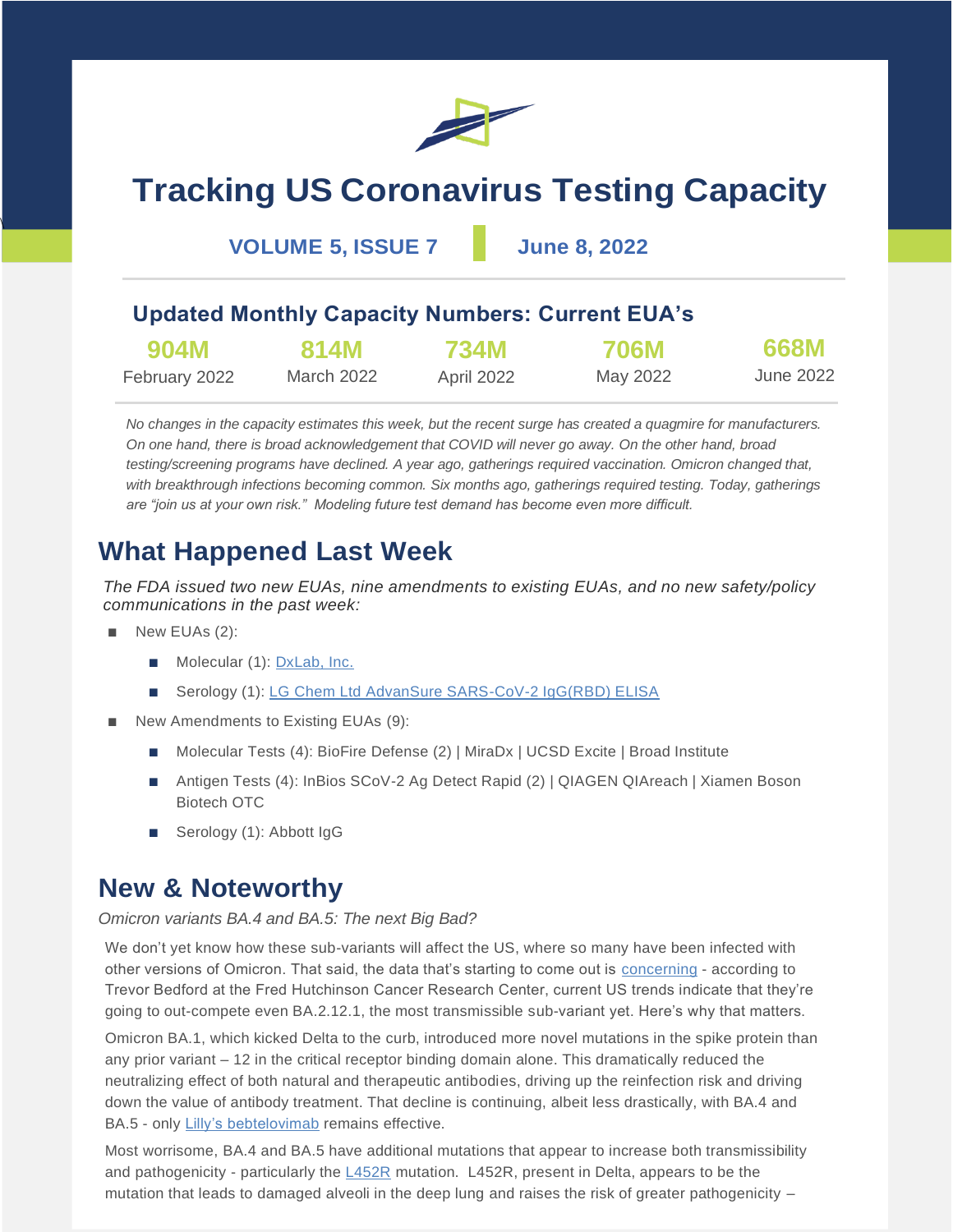

# **Tracking US Coronavirus Testing Capacity**

**VOLUME 5, ISSUE 7 June 8, 2022**

### **Updated Monthly Capacity Numbers: Current EUA's**

| 904M          | 814M       | <b>734M</b> | <b>706M</b> | 668M      |
|---------------|------------|-------------|-------------|-----------|
| February 2022 | March 2022 | April 2022  | May 2022    | June 2022 |

*No changes in the capacity estimates this week, but the recent surge has created a quagmire for manufacturers. On one hand, there is broad acknowledgement that COVID will never go away. On the other hand, broad testing/screening programs have declined. A year ago, gatherings required vaccination. Omicron changed that, with breakthrough infections becoming common. Six months ago, gatherings required testing. Today, gatherings are "join us at your own risk." Modeling future test demand has become even more difficult.*

### **What Happened Last Week**

*The FDA issued two new EUAs, nine amendments to existing EUAs, and no new safety/policy communications in the past week:*

New EUAs (2):

 $\overline{\phantom{a}}$ 

- Molecular (1): [DxLab, Inc.](https://www.fda.gov/media/158977/download)
- Serology (1): [LG Chem Ltd AdvanSure SARS-CoV-2 IgG\(RBD\) ELISA](https://www.fda.gov/media/158868/download)
- New Amendments to Existing EUAs (9):
	- Molecular Tests (4): BioFire Defense (2) | MiraDx | UCSD Excite | Broad Institute
	- Antigen Tests (4): InBios SCoV-2 Ag Detect Rapid (2) | QIAGEN QIAreach | Xiamen Boson Biotech OTC
	- Serology (1): Abbott IgG

### **New & Noteworthy**

### *Omicron variants BA.4 and BA.5: The next Big Bad?*

We don't yet know how these sub-variants will affect the US, where so many have been infected with other versions of Omicron. That said, the data that's starting to come out is [concerning](https://twitter.com/trvrb/status/1530649606647713792) - according to Trevor Bedford at the Fred Hutchinson Cancer Research Center, current US trends indicate that they're going to out-compete even BA.2.12.1, the most transmissible sub-variant yet. Here's why that matters.

Omicron BA.1, which kicked Delta to the curb, introduced more novel mutations in the spike protein than any prior variant – 12 in the critical receptor binding domain alone. This dramatically reduced the neutralizing effect of both natural and therapeutic antibodies, driving up the reinfection risk and driving down the value of antibody treatment. That decline is continuing, albeit less drastically, with BA.4 and BA.5 - only [Lilly's bebtelovimab](https://biorxiv.org/lookup/doi/10.1101/2022.05.26.493517) remains effective.

Most worrisome, BA.4 and BA.5 have additional mutations that appear to increase both transmissibility and pathogenicity - particularly the  $L452R$  mutation. [L452R](https://www.nature.com/articles/s41392-022-00941-z), present in Delta, appears to be the mutation that leads to damaged alveoli in the deep lung and raises the risk of greater pathogenicity –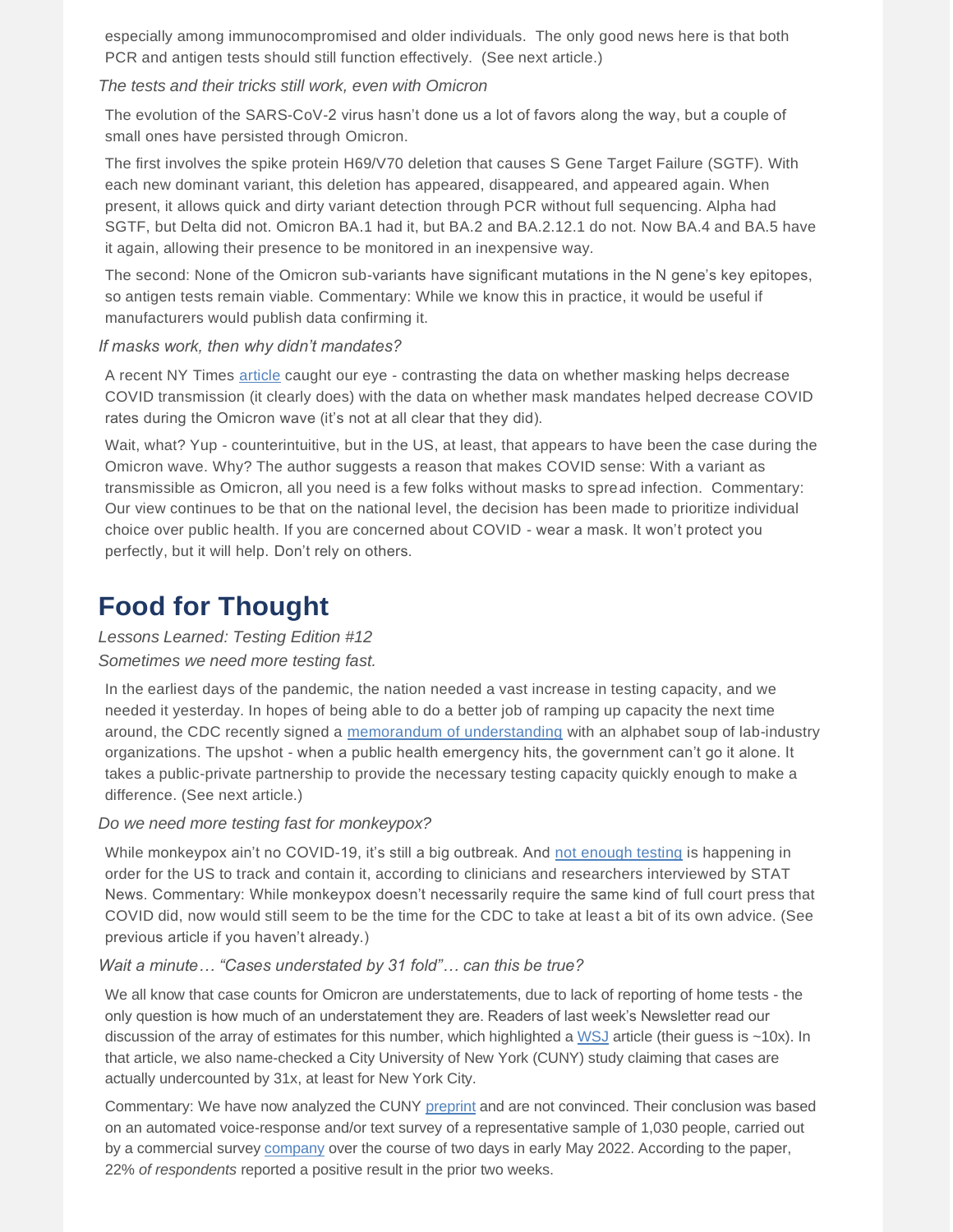especially among immunocompromised and older individuals. The only good news here is that both PCR and antigen tests should still function effectively. (See next article.)

### *The tests and their tricks still work, even with Omicron*

The evolution of the SARS-CoV-2 virus hasn't done us a lot of favors along the way, but a couple of small ones have persisted through Omicron.

The first involves the spike protein H69/V70 deletion that causes S Gene Target Failure (SGTF). With each new dominant variant, this deletion has appeared, disappeared, and appeared again. When present, it allows quick and dirty variant detection through PCR without full sequencing. Alpha had SGTF, but Delta did not. Omicron BA.1 had it, but BA.2 and BA.2.12.1 do not. Now BA.4 and BA.5 have it again, allowing their presence to be monitored in an inexpensive way.

The second: None of the Omicron sub-variants have significant mutations in the N gene's key epitopes, so antigen tests remain viable. Commentary: While we know this in practice, it would be useful if manufacturers would publish data confirming it.

#### *If masks work, then why didn't mandates?*

A recent NY Times [article](https://www.nytimes.com/2022/05/31/briefing/masks-mandates-us-covid.html) caught our eye - contrasting the data on whether masking helps decrease COVID transmission (it clearly does) with the data on whether mask mandates helped decrease COVID rates during the Omicron wave (it's not at all clear that they did).

Wait, what? Yup - counterintuitive, but in the US, at least, that appears to have been the case during the Omicron wave. Why? The author suggests a reason that makes COVID sense: With a variant as transmissible as Omicron, all you need is a few folks without masks to spread infection. Commentary: Our view continues to be that on the national level, the decision has been made to prioritize individual choice over public health. If you are concerned about COVID - wear a mask. It won't protect you perfectly, but it will help. Don't rely on others.

### **Food for Thought**

### *Lessons Learned: Testing Edition #12 Sometimes we need more testing fast.*

In the earliest days of the pandemic, the nation needed a vast increase in testing capacity, and we needed it yesterday. In hopes of being able to do a better job of ramping up capacity the next time around, the CDC recently signed a [memorandum of understanding](https://www.fda.gov/about-fda/domestic-mous/mou-225-22-020) with an alphabet soup of lab-industry organizations. The upshot - when a public health emergency hits, the government can't go it alone. It takes a public-private partnership to provide the necessary testing capacity quickly enough to make a difference. (See next article.)

### *Do we need more testing fast for monkeypox?*

While monkeypox ain't no COVID-19, it's still a big outbreak. And [not enough testing](https://www.statnews.com/2022/06/07/testing-bottleneck-for-monkeypox-jeopardizes-containment-experts-warn/) is happening in order for the US to track and contain it, according to clinicians and researchers interviewed by STAT News. Commentary: While monkeypox doesn't necessarily require the same kind of full court press that COVID did, now would still seem to be the time for the CDC to take at least a bit of its own advice. (See previous article if you haven't already.)

### *Wait a minute… "Cases understated by 31 fold"… can this be true?*

We all know that case counts for Omicron are understatements, due to lack of reporting of home tests - the only question is how much of an understatement they are. Readers of last week's Newsletter read our discussion of the array of estimates for this number, which highlighted a [WSJ](https://www.wsj.com/articles/why-covid-pandemics-daily-case-count-comes-up-short-in-the-u-s-11653643802?mod=Searchresults_pos2&page=1) article (their guess is ~10x). In that article, we also name-checked a City University of New York (CUNY) study claiming that cases are actually undercounted by 31x, at least for New York City.

Commentary: We have now analyzed the CUNY [preprint](https://www.medrxiv.org/content/10.1101/2022.05.25.22275603v1.article-info) and are not convinced. Their conclusion was based on an automated voice-response and/or text survey of a representative sample of 1,030 people, carried out by a commercial survey [company](https://consensus-strategies.com/?gclid=CjwKCAjw7vuUBhBUEiwAEdu2pJrlezQheu_aUPbSQ1JqiKjHm1jqL9-A68VqvrvsvsrYImRLC8xDoxoCcKkQAvD_BwE) over the course of two days in early May 2022. According to the paper, 22% *of respondents* reported a positive result in the prior two weeks.